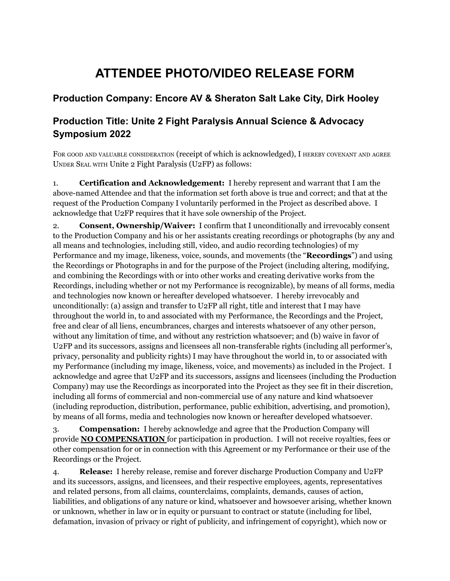## **ATTENDEE PHOTO/VIDEO RELEASE FORM**

## **Production Company: Encore AV & Sheraton Salt Lake City, Dirk Hooley**

## **Production Title: Unite 2 Fight Paralysis Annual Science & Advocacy Symposium 2022**

FOR GOOD AND VALUABLE CONSIDERATION (receipt of which is acknowledged), I HEREBY COVENANT AND AGREE UNDER SEAL WITH Unite 2 Fight Paralysis (U2FP) as follows:

1. **Certification and Acknowledgement:** I hereby represent and warrant that I am the above-named Attendee and that the information set forth above is true and correct; and that at the request of the Production Company I voluntarily performed in the Project as described above. I acknowledge that U2FP requires that it have sole ownership of the Project.

2. **Consent, Ownership/Waiver:** I confirm that I unconditionally and irrevocably consent to the Production Company and his or her assistants creating recordings or photographs (by any and all means and technologies, including still, video, and audio recording technologies) of my Performance and my image, likeness, voice, sounds, and movements (the "**Recordings**") and using the Recordings or Photographs in and for the purpose of the Project (including altering, modifying, and combining the Recordings with or into other works and creating derivative works from the Recordings, including whether or not my Performance is recognizable), by means of all forms, media and technologies now known or hereafter developed whatsoever. I hereby irrevocably and unconditionally: (a) assign and transfer to U2FP all right, title and interest that I may have throughout the world in, to and associated with my Performance, the Recordings and the Project, free and clear of all liens, encumbrances, charges and interests whatsoever of any other person, without any limitation of time, and without any restriction whatsoever; and (b) waive in favor of U2FP and its successors, assigns and licensees all non-transferable rights (including all performer's, privacy, personality and publicity rights) I may have throughout the world in, to or associated with my Performance (including my image, likeness, voice, and movements) as included in the Project. I acknowledge and agree that U2FP and its successors, assigns and licensees (including the Production Company) may use the Recordings as incorporated into the Project as they see fit in their discretion, including all forms of commercial and non-commercial use of any nature and kind whatsoever (including reproduction, distribution, performance, public exhibition, advertising, and promotion), by means of all forms, media and technologies now known or hereafter developed whatsoever.

3. **Compensation:** I hereby acknowledge and agree that the Production Company will provide **NO COMPENSATION** for participation in production. I will not receive royalties, fees or other compensation for or in connection with this Agreement or my Performance or their use of the Recordings or the Project.

4. **Release:** I hereby release, remise and forever discharge Production Company and U2FP and its successors, assigns, and licensees, and their respective employees, agents, representatives and related persons, from all claims, counterclaims, complaints, demands, causes of action, liabilities, and obligations of any nature or kind, whatsoever and howsoever arising, whether known or unknown, whether in law or in equity or pursuant to contract or statute (including for libel, defamation, invasion of privacy or right of publicity, and infringement of copyright), which now or